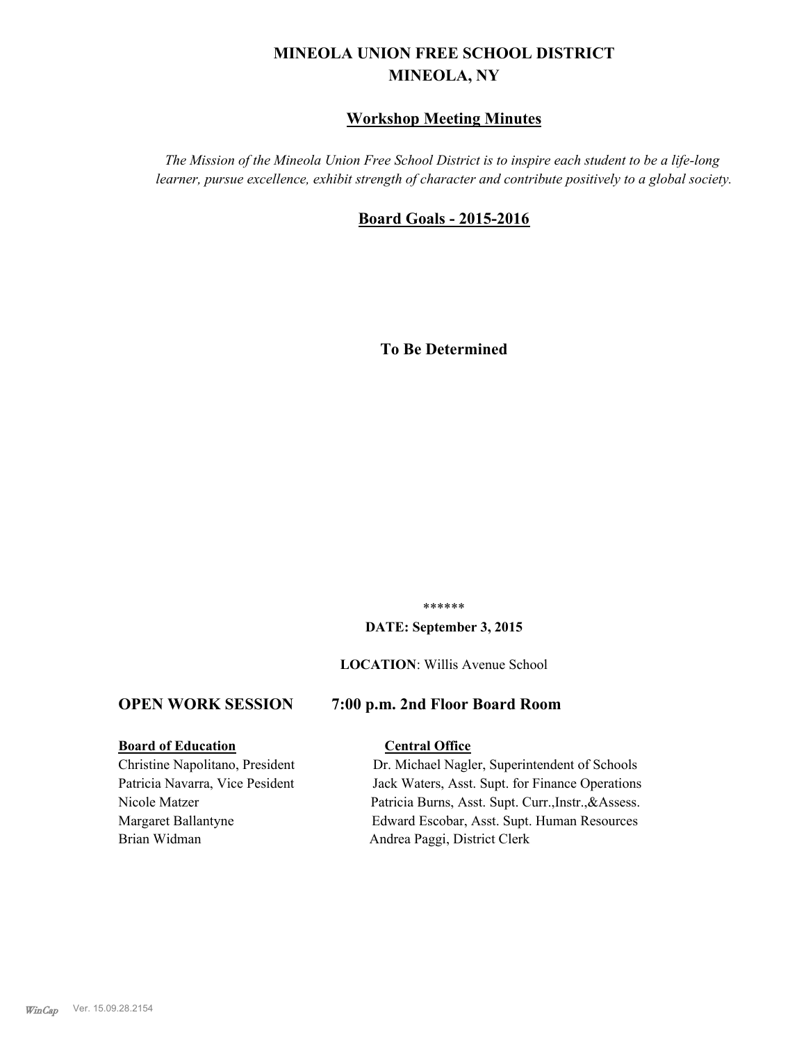# **MINEOLA UNION FREE SCHOOL DISTRICT MINEOLA, NY**

# **Workshop Meeting Minutes**

*The Mission of the Mineola Union Free School District is to inspire each student to be a life-long learner, pursue excellence, exhibit strength of character and contribute positively to a global society.*

# **Board Goals - 2015-2016**

**To Be Determined**

\*\*\*\*\*\*

#### **DATE: September 3, 2015**

#### **LOCATION**: Willis Avenue School

# **OPEN WORK SESSION 7:00 p.m. 2nd Floor Board Room**

#### **Board of Education Central Office**

Brian Widman Andrea Paggi, District Clerk

Christine Napolitano, President Dr. Michael Nagler, Superintendent of Schools Patricia Navarra, Vice Pesident Jack Waters, Asst. Supt. for Finance Operations Nicole Matzer Patricia Burns, Asst. Supt. Curr.,Instr.,&Assess. Margaret Ballantyne Edward Escobar, Asst. Supt. Human Resources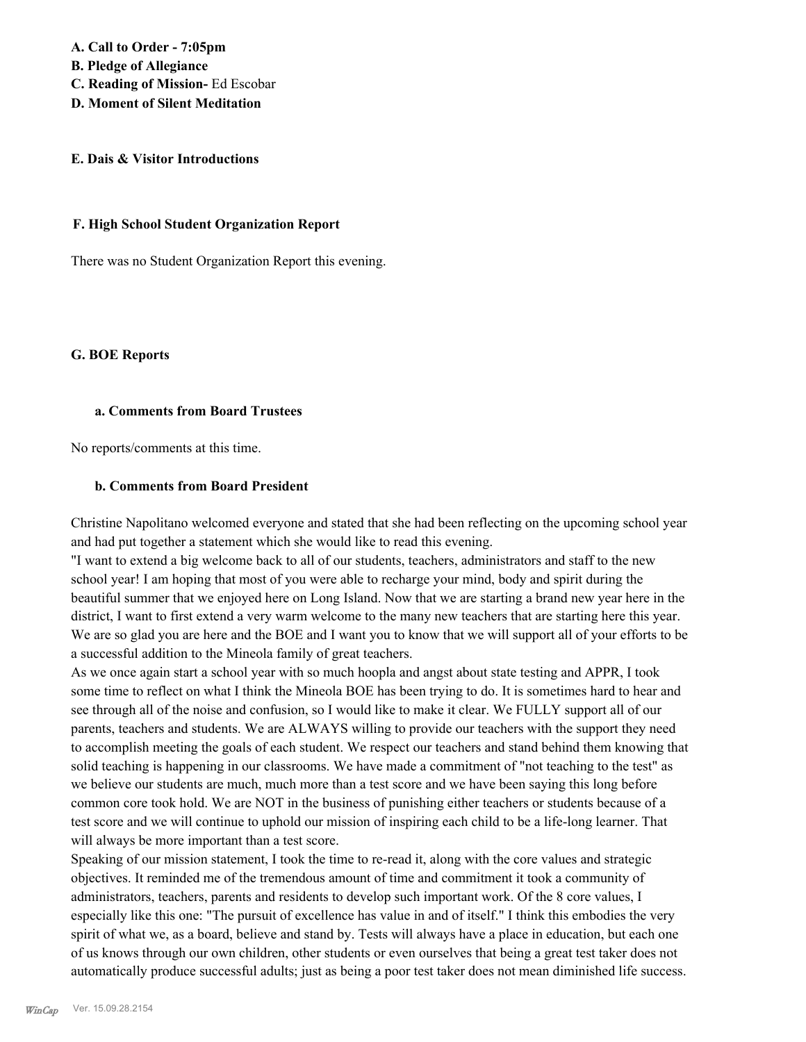**A. Call to Order - 7:05pm B. Pledge of Allegiance C. Reading of Mission-** Ed Escobar **D. Moment of Silent Meditation**

#### **E. Dais & Visitor Introductions**

#### **F. High School Student Organization Report**

There was no Student Organization Report this evening.

#### **G. BOE Reports**

#### **a. Comments from Board Trustees**

No reports/comments at this time.

#### **b. Comments from Board President**

Christine Napolitano welcomed everyone and stated that she had been reflecting on the upcoming school year and had put together a statement which she would like to read this evening.

"I want to extend a big welcome back to all of our students, teachers, administrators and staff to the new school year! I am hoping that most of you were able to recharge your mind, body and spirit during the beautiful summer that we enjoyed here on Long Island. Now that we are starting a brand new year here in the district, I want to first extend a very warm welcome to the many new teachers that are starting here this year. We are so glad you are here and the BOE and I want you to know that we will support all of your efforts to be a successful addition to the Mineola family of great teachers.

As we once again start a school year with so much hoopla and angst about state testing and APPR, I took some time to reflect on what I think the Mineola BOE has been trying to do. It is sometimes hard to hear and see through all of the noise and confusion, so I would like to make it clear. We FULLY support all of our parents, teachers and students. We are ALWAYS willing to provide our teachers with the support they need to accomplish meeting the goals of each student. We respect our teachers and stand behind them knowing that solid teaching is happening in our classrooms. We have made a commitment of "not teaching to the test" as we believe our students are much, much more than a test score and we have been saying this long before common core took hold. We are NOT in the business of punishing either teachers or students because of a test score and we will continue to uphold our mission of inspiring each child to be a life-long learner. That will always be more important than a test score.

Speaking of our mission statement, I took the time to re-read it, along with the core values and strategic objectives. It reminded me of the tremendous amount of time and commitment it took a community of administrators, teachers, parents and residents to develop such important work. Of the 8 core values, I especially like this one: "The pursuit of excellence has value in and of itself." I think this embodies the very spirit of what we, as a board, believe and stand by. Tests will always have a place in education, but each one of us knows through our own children, other students or even ourselves that being a great test taker does not automatically produce successful adults; just as being a poor test taker does not mean diminished life success.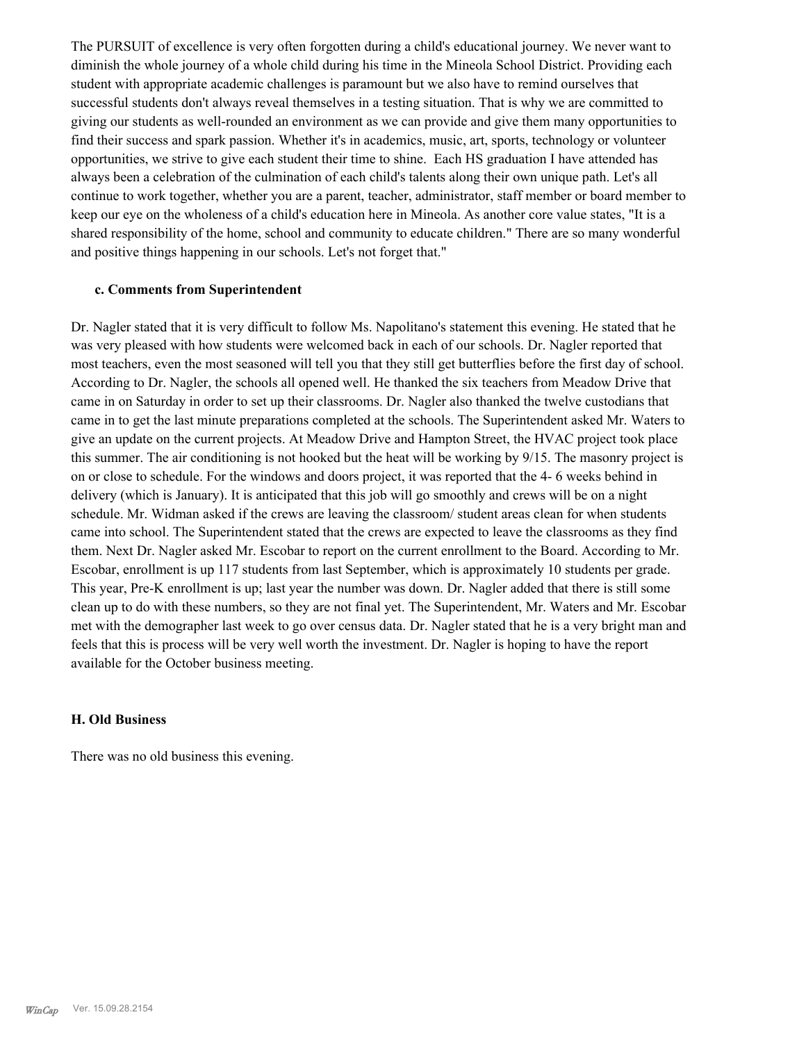The PURSUIT of excellence is very often forgotten during a child's educational journey. We never want to diminish the whole journey of a whole child during his time in the Mineola School District. Providing each student with appropriate academic challenges is paramount but we also have to remind ourselves that successful students don't always reveal themselves in a testing situation. That is why we are committed to giving our students as well-rounded an environment as we can provide and give them many opportunities to find their success and spark passion. Whether it's in academics, music, art, sports, technology or volunteer opportunities, we strive to give each student their time to shine. Each HS graduation I have attended has always been a celebration of the culmination of each child's talents along their own unique path. Let's all continue to work together, whether you are a parent, teacher, administrator, staff member or board member to keep our eye on the wholeness of a child's education here in Mineola. As another core value states, "It is a shared responsibility of the home, school and community to educate children." There are so many wonderful and positive things happening in our schools. Let's not forget that."

#### **c. Comments from Superintendent**

Dr. Nagler stated that it is very difficult to follow Ms. Napolitano's statement this evening. He stated that he was very pleased with how students were welcomed back in each of our schools. Dr. Nagler reported that most teachers, even the most seasoned will tell you that they still get butterflies before the first day of school. According to Dr. Nagler, the schools all opened well. He thanked the six teachers from Meadow Drive that came in on Saturday in order to set up their classrooms. Dr. Nagler also thanked the twelve custodians that came in to get the last minute preparations completed at the schools. The Superintendent asked Mr. Waters to give an update on the current projects. At Meadow Drive and Hampton Street, the HVAC project took place this summer. The air conditioning is not hooked but the heat will be working by 9/15. The masonry project is on or close to schedule. For the windows and doors project, it was reported that the 4- 6 weeks behind in delivery (which is January). It is anticipated that this job will go smoothly and crews will be on a night schedule. Mr. Widman asked if the crews are leaving the classroom/ student areas clean for when students came into school. The Superintendent stated that the crews are expected to leave the classrooms as they find them. Next Dr. Nagler asked Mr. Escobar to report on the current enrollment to the Board. According to Mr. Escobar, enrollment is up 117 students from last September, which is approximately 10 students per grade. This year, Pre-K enrollment is up; last year the number was down. Dr. Nagler added that there is still some clean up to do with these numbers, so they are not final yet. The Superintendent, Mr. Waters and Mr. Escobar met with the demographer last week to go over census data. Dr. Nagler stated that he is a very bright man and feels that this is process will be very well worth the investment. Dr. Nagler is hoping to have the report available for the October business meeting.

#### **H. Old Business**

There was no old business this evening.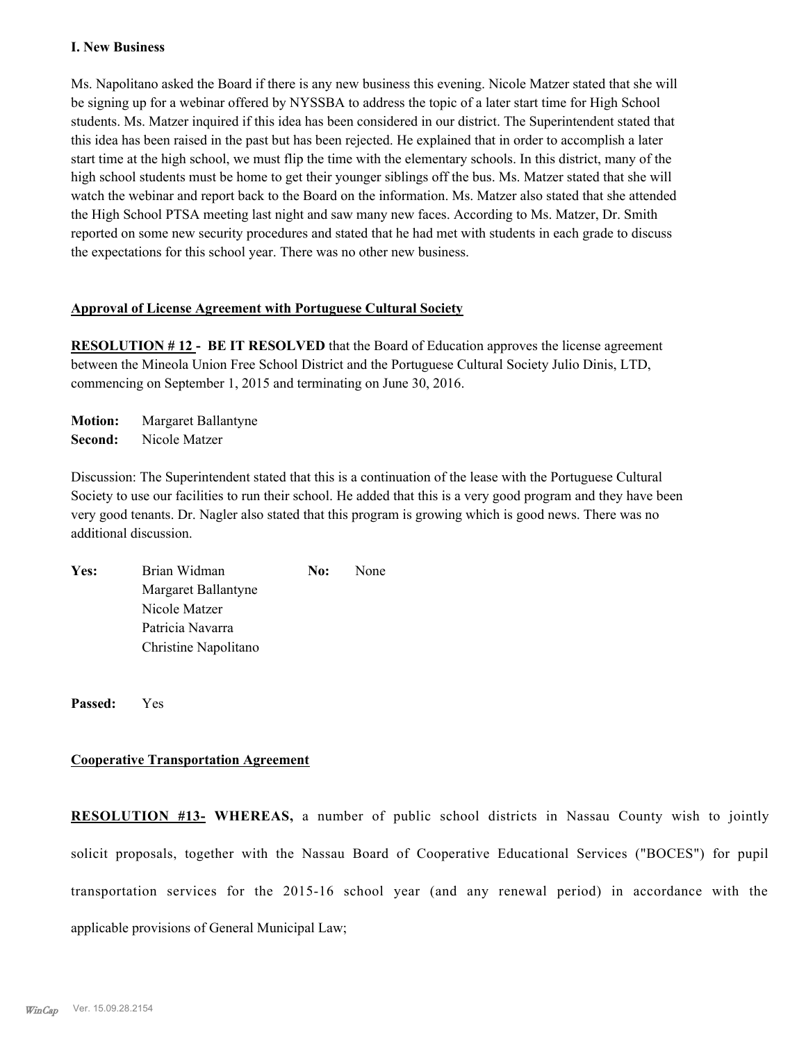#### **I. New Business**

Ms. Napolitano asked the Board if there is any new business this evening. Nicole Matzer stated that she will be signing up for a webinar offered by NYSSBA to address the topic of a later start time for High School students. Ms. Matzer inquired if this idea has been considered in our district. The Superintendent stated that this idea has been raised in the past but has been rejected. He explained that in order to accomplish a later start time at the high school, we must flip the time with the elementary schools. In this district, many of the high school students must be home to get their younger siblings off the bus. Ms. Matzer stated that she will watch the webinar and report back to the Board on the information. Ms. Matzer also stated that she attended the High School PTSA meeting last night and saw many new faces. According to Ms. Matzer, Dr. Smith reported on some new security procedures and stated that he had met with students in each grade to discuss the expectations for this school year. There was no other new business.

#### **Approval of License Agreement with Portuguese Cultural Society**

**RESOLUTION # 12 - BE IT RESOLVED** that the Board of Education approves the license agreement between the Mineola Union Free School District and the Portuguese Cultural Society Julio Dinis, LTD, commencing on September 1, 2015 and terminating on June 30, 2016.

**Motion:** Margaret Ballantyne **Second:** Nicole Matzer

Discussion: The Superintendent stated that this is a continuation of the lease with the Portuguese Cultural Society to use our facilities to run their school. He added that this is a very good program and they have been very good tenants. Dr. Nagler also stated that this program is growing which is good news. There was no additional discussion.

| Yes: | Brian Widman         | No: | <b>None</b> |
|------|----------------------|-----|-------------|
|      | Margaret Ballantyne  |     |             |
|      | Nicole Matzer        |     |             |
|      | Patricia Navarra     |     |             |
|      | Christine Napolitano |     |             |

**Passed:** Yes

#### **Cooperative Transportation Agreement**

**RESOLUTION #13- WHEREAS,** a number of public school districts in Nassau County wish to jointly solicit proposals, together with the Nassau Board of Cooperative Educational Services ("BOCES") for pupil transportation services for the 2015-16 school year (and any renewal period) in accordance with the applicable provisions of General Municipal Law;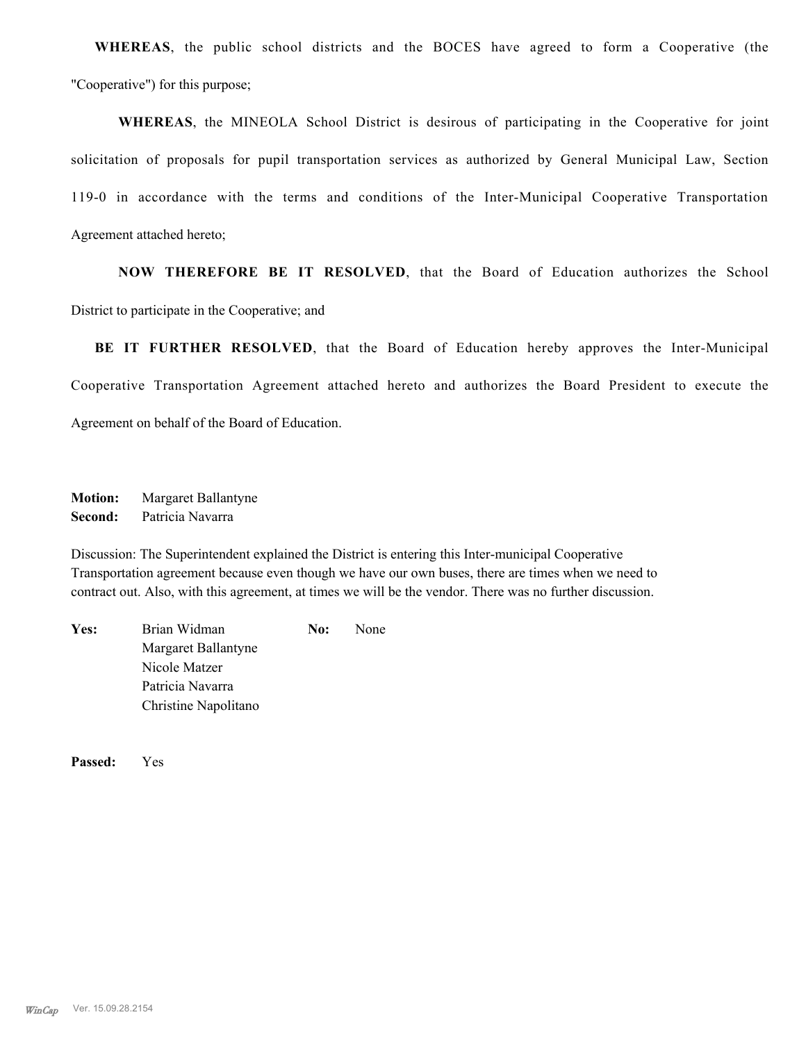**WHEREAS**, the public school districts and the BOCES have agreed to form a Cooperative (the "Cooperative") for this purpose;

**WHEREAS**, the MINEOLA School District is desirous of participating in the Cooperative for joint solicitation of proposals for pupil transportation services as authorized by General Municipal Law, Section 119-0 in accordance with the terms and conditions of the Inter-Municipal Cooperative Transportation Agreement attached hereto;

**NOW THEREFORE BE IT RESOLVED**, that the Board of Education authorizes the School District to participate in the Cooperative; and

**BE IT FURTHER RESOLVED**, that the Board of Education hereby approves the Inter-Municipal Cooperative Transportation Agreement attached hereto and authorizes the Board President to execute the Agreement on behalf of the Board of Education.

**Motion:** Margaret Ballantyne **Second:** Patricia Navarra

Discussion: The Superintendent explained the District is entering this Inter-municipal Cooperative Transportation agreement because even though we have our own buses, there are times when we need to contract out. Also, with this agreement, at times we will be the vendor. There was no further discussion.

Yes: Brian Widman **No:** None Margaret Ballantyne Nicole Matzer Patricia Navarra Christine Napolitano

**Passed:** Yes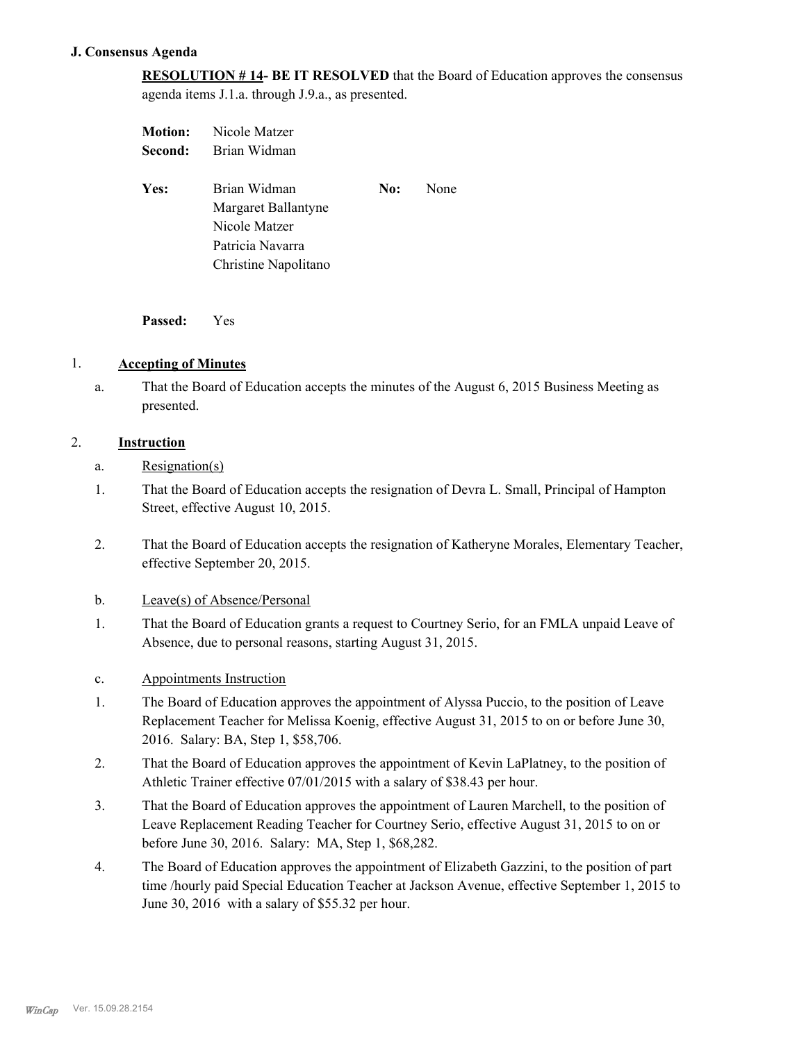# **J. Consensus Agenda**

**RESOLUTION # 14- BE IT RESOLVED** that the Board of Education approves the consensus agenda items J.1.a. through J.9.a., as presented.

| <b>Motion:</b> | Nicole Matzer        |     |      |
|----------------|----------------------|-----|------|
| Second:        | Brian Widman         |     |      |
|                |                      |     |      |
| Yes:           | Brian Widman         | No: | None |
|                | Margaret Ballantyne  |     |      |
|                | Nicole Matzer        |     |      |
|                | Patricia Navarra     |     |      |
|                | Christine Napolitano |     |      |
|                |                      |     |      |

**Passed:** Yes

# 1. **Accepting of Minutes**

That the Board of Education accepts the minutes of the August 6, 2015 Business Meeting as presented. a.

# 2. **Instruction**

- a. Resignation(s)
- That the Board of Education accepts the resignation of Devra L. Small, Principal of Hampton Street, effective August 10, 2015. 1.
- That the Board of Education accepts the resignation of Katheryne Morales, Elementary Teacher, effective September 20, 2015. 2.
- b. Leave(s) of Absence/Personal
- That the Board of Education grants a request to Courtney Serio, for an FMLA unpaid Leave of Absence, due to personal reasons, starting August 31, 2015. 1.
- c. Appointments Instruction
- The Board of Education approves the appointment of Alyssa Puccio, to the position of Leave Replacement Teacher for Melissa Koenig, effective August 31, 2015 to on or before June 30, 2016. Salary: BA, Step 1, \$58,706. 1.
- That the Board of Education approves the appointment of Kevin LaPlatney, to the position of Athletic Trainer effective 07/01/2015 with a salary of \$38.43 per hour. 2.
- That the Board of Education approves the appointment of Lauren Marchell, to the position of Leave Replacement Reading Teacher for Courtney Serio, effective August 31, 2015 to on or before June 30, 2016. Salary: MA, Step 1, \$68,282. 3.
- The Board of Education approves the appointment of Elizabeth Gazzini, to the position of part time /hourly paid Special Education Teacher at Jackson Avenue, effective September 1, 2015 to June 30, 2016 with a salary of \$55.32 per hour. 4.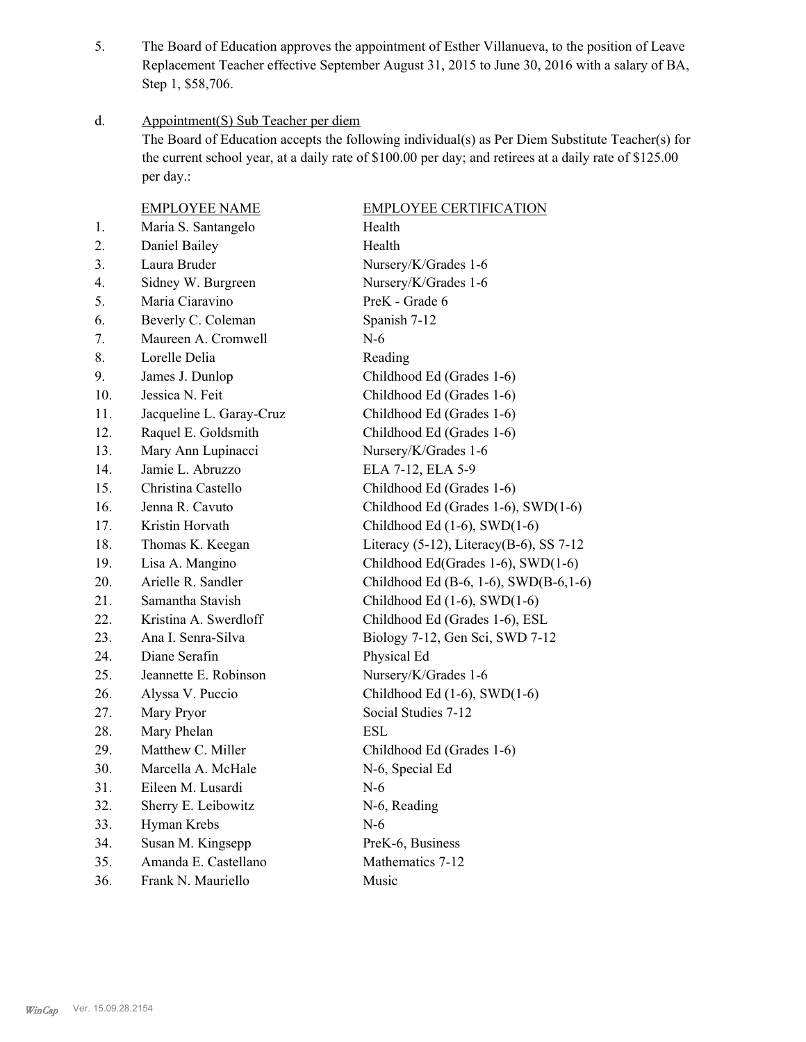The Board of Education approves the appointment of Esther Villanueva, to the position of Leave Replacement Teacher effective September August 31, 2015 to June 30, 2016 with a salary of BA, Step 1, \$58,706. 5.

#### Appointment(S) Sub Teacher per diem d.

The Board of Education accepts the following individual(s) as Per Diem Substitute Teacher(s) for the current school year, at a daily rate of \$100.00 per day; and retirees at a daily rate of \$125.00 per day.:

|                  | <b>EMPLOYEE NAME</b>     | <b>EMPLOYEE CERTIFICATION</b>            |
|------------------|--------------------------|------------------------------------------|
| 1.               | Maria S. Santangelo      | Health                                   |
| 2.               | Daniel Bailey            | Health                                   |
| 3.               | Laura Bruder             | Nursery/K/Grades 1-6                     |
| $\overline{4}$ . | Sidney W. Burgreen       | Nursery/K/Grades 1-6                     |
| 5.               | Maria Ciaravino          | PreK - Grade 6                           |
| 6.               | Beverly C. Coleman       | Spanish 7-12                             |
| 7.               | Maureen A. Cromwell      | $N-6$                                    |
| 8.               | Lorelle Delia            | Reading                                  |
| 9.               | James J. Dunlop          | Childhood Ed (Grades 1-6)                |
| 10.              | Jessica N. Feit          | Childhood Ed (Grades 1-6)                |
| 11.              | Jacqueline L. Garay-Cruz | Childhood Ed (Grades 1-6)                |
| 12.              | Raquel E. Goldsmith      | Childhood Ed (Grades 1-6)                |
| 13.              | Mary Ann Lupinacci       | Nursery/K/Grades 1-6                     |
| 14.              | Jamie L. Abruzzo         | ELA 7-12, ELA 5-9                        |
| 15.              | Christina Castello       | Childhood Ed (Grades 1-6)                |
| 16.              | Jenna R. Cavuto          | Childhood Ed (Grades 1-6), SWD(1-6)      |
| 17.              | Kristin Horvath          | Childhood Ed $(1-6)$ , SWD $(1-6)$       |
| 18.              | Thomas K. Keegan         | Literacy (5-12), Literacy (B-6), SS 7-12 |
| 19.              | Lisa A. Mangino          | Childhood Ed(Grades 1-6), SWD(1-6)       |
| 20.              | Arielle R. Sandler       | Childhood Ed (B-6, 1-6), SWD(B-6,1-6)    |
| 21.              | Samantha Stavish         | Childhood Ed $(1-6)$ , SWD $(1-6)$       |
| 22.              | Kristina A. Swerdloff    | Childhood Ed (Grades 1-6), ESL           |
| 23.              | Ana I. Senra-Silva       | Biology 7-12, Gen Sci, SWD 7-12          |
| 24.              | Diane Serafin            | Physical Ed                              |
| 25.              | Jeannette E. Robinson    | Nursery/K/Grades 1-6                     |
| 26.              | Alyssa V. Puccio         | Childhood Ed $(1-6)$ , SWD $(1-6)$       |
| 27.              | Mary Pryor               | Social Studies 7-12                      |
| 28.              | Mary Phelan              | <b>ESL</b>                               |
| 29.              | Matthew C. Miller        | Childhood Ed (Grades 1-6)                |
| 30.              | Marcella A. McHale       | N-6, Special Ed                          |
| 31.              | Eileen M. Lusardi        | $N-6$                                    |
| 32.              | Sherry E. Leibowitz      | N-6, Reading                             |
| 33.              | Hyman Krebs              | $N-6$                                    |
| 34.              | Susan M. Kingsepp        | PreK-6, Business                         |
| 35.              | Amanda E. Castellano     | Mathematics 7-12                         |
| 36.              | Frank N. Mauriello       | Music                                    |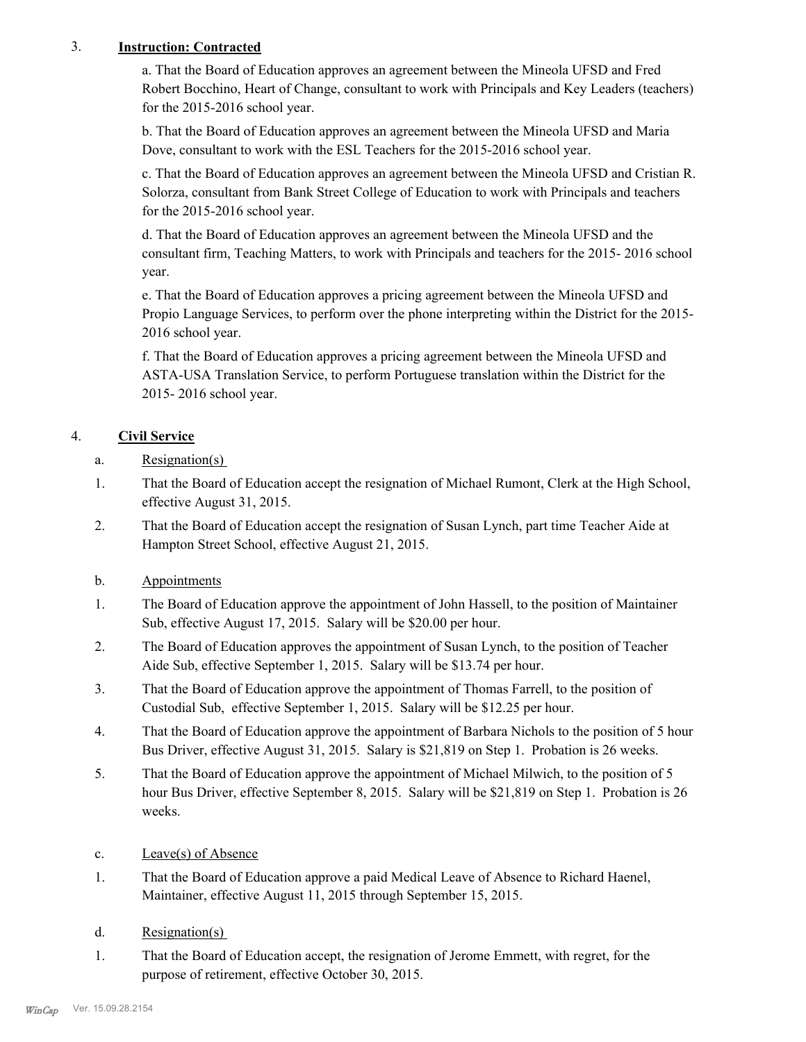# 3. **Instruction: Contracted**

a. That the Board of Education approves an agreement between the Mineola UFSD and Fred Robert Bocchino, Heart of Change, consultant to work with Principals and Key Leaders (teachers) for the 2015-2016 school year.

b. That the Board of Education approves an agreement between the Mineola UFSD and Maria Dove, consultant to work with the ESL Teachers for the 2015-2016 school year.

c. That the Board of Education approves an agreement between the Mineola UFSD and Cristian R. Solorza, consultant from Bank Street College of Education to work with Principals and teachers for the 2015-2016 school year.

d. That the Board of Education approves an agreement between the Mineola UFSD and the consultant firm, Teaching Matters, to work with Principals and teachers for the 2015- 2016 school year.

e. That the Board of Education approves a pricing agreement between the Mineola UFSD and Propio Language Services, to perform over the phone interpreting within the District for the 2015- 2016 school year.

f. That the Board of Education approves a pricing agreement between the Mineola UFSD and ASTA-USA Translation Service, to perform Portuguese translation within the District for the 2015- 2016 school year.

# 4. **Civil Service**

- a. Resignation(s)
- That the Board of Education accept the resignation of Michael Rumont, Clerk at the High School, effective August 31, 2015. 1.
- That the Board of Education accept the resignation of Susan Lynch, part time Teacher Aide at Hampton Street School, effective August 21, 2015. 2.
- b. Appointments
- The Board of Education approve the appointment of John Hassell, to the position of Maintainer Sub, effective August 17, 2015. Salary will be \$20.00 per hour. 1.
- The Board of Education approves the appointment of Susan Lynch, to the position of Teacher Aide Sub, effective September 1, 2015. Salary will be \$13.74 per hour. 2.
- That the Board of Education approve the appointment of Thomas Farrell, to the position of Custodial Sub, effective September 1, 2015. Salary will be \$12.25 per hour. 3.
- That the Board of Education approve the appointment of Barbara Nichols to the position of 5 hour Bus Driver, effective August 31, 2015. Salary is \$21,819 on Step 1. Probation is 26 weeks. 4.
- That the Board of Education approve the appointment of Michael Milwich, to the position of 5 hour Bus Driver, effective September 8, 2015. Salary will be \$21,819 on Step 1. Probation is 26 weeks. 5.
- c. Leave(s) of Absence
- That the Board of Education approve a paid Medical Leave of Absence to Richard Haenel, Maintainer, effective August 11, 2015 through September 15, 2015. 1.
- d. Resignation(s)
- That the Board of Education accept, the resignation of Jerome Emmett, with regret, for the purpose of retirement, effective October 30, 2015. 1.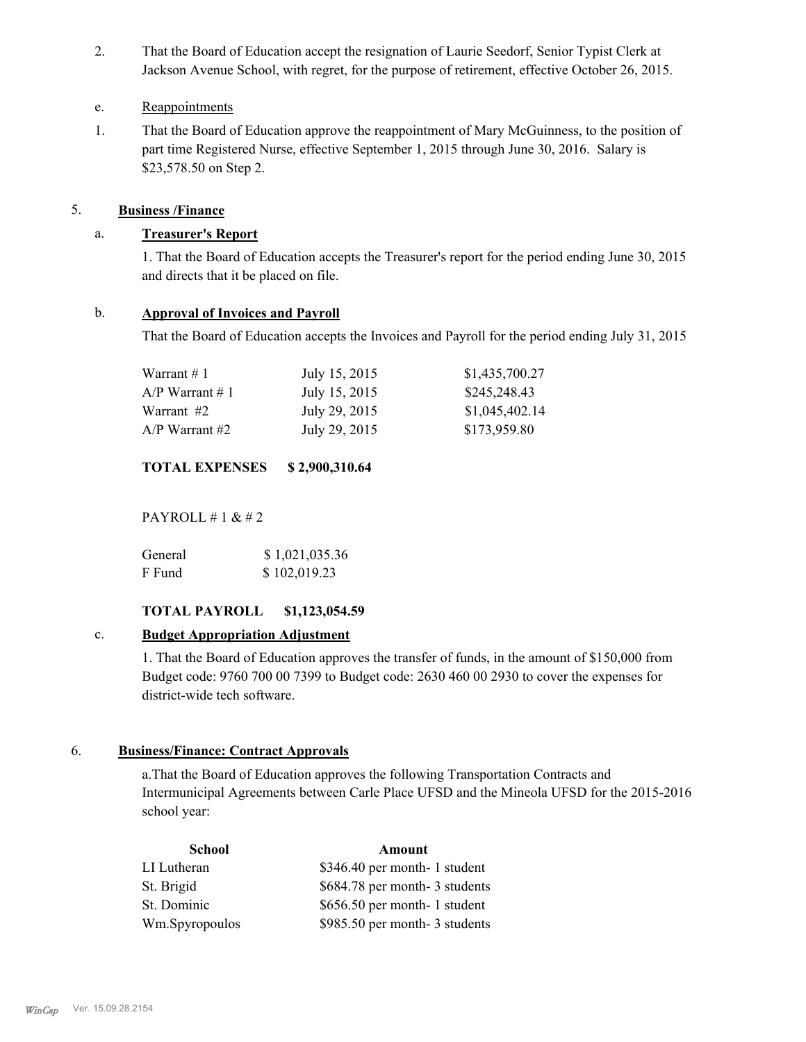That the Board of Education accept the resignation of Laurie Seedorf, Senior Typist Clerk at Jackson Avenue School, with regret, for the purpose of retirement, effective October 26, 2015. 2.

# e. Reappointments

That the Board of Education approve the reappointment of Mary McGuinness, to the position of part time Registered Nurse, effective September 1, 2015 through June 30, 2016. Salary is \$23,578.50 on Step 2. 1.

# 5. **Business /Finance**

# a. **Treasurer's Report**

1. That the Board of Education accepts the Treasurer's report for the period ending June 30, 2015 and directs that it be placed on file.

# b. **Approval of Invoices and Payroll**

That the Board of Education accepts the Invoices and Payroll for the period ending July 31, 2015

| Warrant # 1       | July 15, 2015 | \$1,435,700.27 |
|-------------------|---------------|----------------|
| $A/P$ Warrant # 1 | July 15, 2015 | \$245,248.43   |
| Warrant #2        | July 29, 2015 | \$1,045,402.14 |
| A/P Warrant #2    | July 29, 2015 | \$173,959.80   |

# **TOTAL EXPENSES \$ 2,900,310.64**

PAYROLL  $\#$  1 &  $\#$  2

| General | \$1,021,035.36 |
|---------|----------------|
| F Fund  | \$102,019.23   |

# **TOTAL PAYROLL \$1,123,054.59**

# c. **Budget Appropriation Adjustment**

1. That the Board of Education approves the transfer of funds, in the amount of \$150,000 from Budget code: 9760 700 00 7399 to Budget code: 2630 460 00 2930 to cover the expenses for district-wide tech software.

# 6. **Business/Finance: Contract Approvals**

a.That the Board of Education approves the following Transportation Contracts and Intermunicipal Agreements between Carle Place UFSD and the Mineola UFSD for the 2015-2016 school year:

| <b>School</b>  | Amount                        |
|----------------|-------------------------------|
| LI Lutheran    | \$346.40 per month- 1 student |
| St. Brigid     | \$684.78 per month-3 students |
| St. Dominic    | \$656.50 per month- 1 student |
| Wm.Spyropoulos | \$985.50 per month-3 students |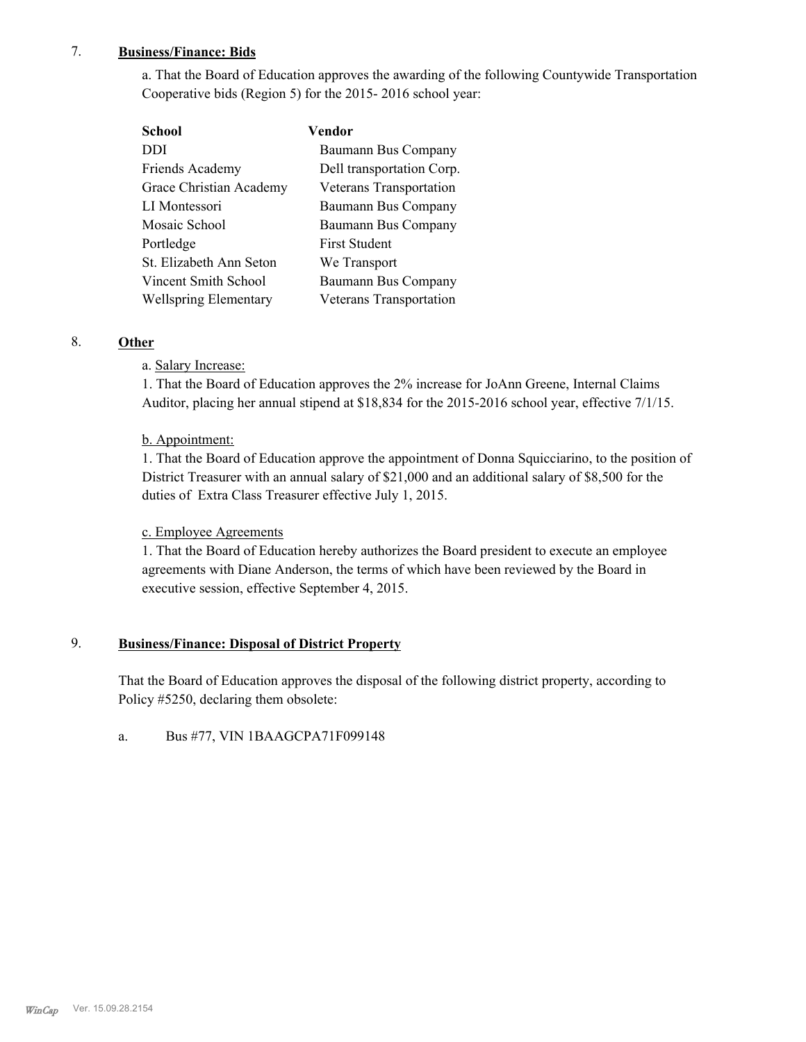# 7. **Business/Finance: Bids**

a. That the Board of Education approves the awarding of the following Countywide Transportation Cooperative bids (Region 5) for the 2015- 2016 school year:

| School                       | Vendor                    |
|------------------------------|---------------------------|
| DDI                          | Baumann Bus Company       |
| Friends Academy              | Dell transportation Corp. |
| Grace Christian Academy      | Veterans Transportation   |
| LI Montessori                | Baumann Bus Company       |
| Mosaic School                | Baumann Bus Company       |
| Portledge                    | <b>First Student</b>      |
| St. Elizabeth Ann Seton      | We Transport              |
| Vincent Smith School         | Baumann Bus Company       |
| <b>Wellspring Elementary</b> | Veterans Transportation   |

# 8. **Other**

# a. Salary Increase:

1. That the Board of Education approves the 2% increase for JoAnn Greene, Internal Claims Auditor, placing her annual stipend at \$18,834 for the 2015-2016 school year, effective 7/1/15.

# b. Appointment:

1. That the Board of Education approve the appointment of Donna Squicciarino, to the position of District Treasurer with an annual salary of \$21,000 and an additional salary of \$8,500 for the duties of Extra Class Treasurer effective July 1, 2015.

# c. Employee Agreements

1. That the Board of Education hereby authorizes the Board president to execute an employee agreements with Diane Anderson, the terms of which have been reviewed by the Board in executive session, effective September 4, 2015.

#### **Business/Finance: Disposal of District Property** 9.

That the Board of Education approves the disposal of the following district property, according to Policy #5250, declaring them obsolete:

a. Bus #77, VIN 1BAAGCPA71F099148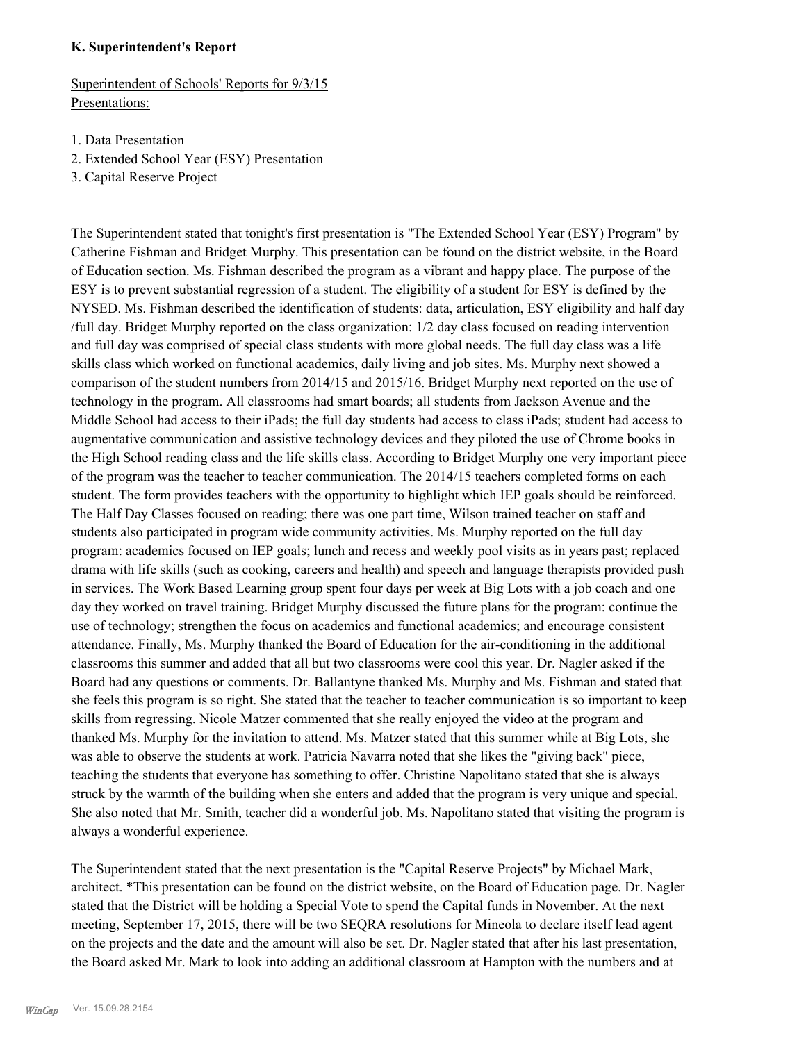#### **K. Superintendent's Report**

Superintendent of Schools' Reports for 9/3/15 Presentations:

- 1. Data Presentation
- 2. Extended School Year (ESY) Presentation
- 3. Capital Reserve Project

The Superintendent stated that tonight's first presentation is "The Extended School Year (ESY) Program" by Catherine Fishman and Bridget Murphy. This presentation can be found on the district website, in the Board of Education section. Ms. Fishman described the program as a vibrant and happy place. The purpose of the ESY is to prevent substantial regression of a student. The eligibility of a student for ESY is defined by the NYSED. Ms. Fishman described the identification of students: data, articulation, ESY eligibility and half day /full day. Bridget Murphy reported on the class organization: 1/2 day class focused on reading intervention and full day was comprised of special class students with more global needs. The full day class was a life skills class which worked on functional academics, daily living and job sites. Ms. Murphy next showed a comparison of the student numbers from 2014/15 and 2015/16. Bridget Murphy next reported on the use of technology in the program. All classrooms had smart boards; all students from Jackson Avenue and the Middle School had access to their iPads; the full day students had access to class iPads; student had access to augmentative communication and assistive technology devices and they piloted the use of Chrome books in the High School reading class and the life skills class. According to Bridget Murphy one very important piece of the program was the teacher to teacher communication. The 2014/15 teachers completed forms on each student. The form provides teachers with the opportunity to highlight which IEP goals should be reinforced. The Half Day Classes focused on reading; there was one part time, Wilson trained teacher on staff and students also participated in program wide community activities. Ms. Murphy reported on the full day program: academics focused on IEP goals; lunch and recess and weekly pool visits as in years past; replaced drama with life skills (such as cooking, careers and health) and speech and language therapists provided push in services. The Work Based Learning group spent four days per week at Big Lots with a job coach and one day they worked on travel training. Bridget Murphy discussed the future plans for the program: continue the use of technology; strengthen the focus on academics and functional academics; and encourage consistent attendance. Finally, Ms. Murphy thanked the Board of Education for the air-conditioning in the additional classrooms this summer and added that all but two classrooms were cool this year. Dr. Nagler asked if the Board had any questions or comments. Dr. Ballantyne thanked Ms. Murphy and Ms. Fishman and stated that she feels this program is so right. She stated that the teacher to teacher communication is so important to keep skills from regressing. Nicole Matzer commented that she really enjoyed the video at the program and thanked Ms. Murphy for the invitation to attend. Ms. Matzer stated that this summer while at Big Lots, she was able to observe the students at work. Patricia Navarra noted that she likes the "giving back" piece, teaching the students that everyone has something to offer. Christine Napolitano stated that she is always struck by the warmth of the building when she enters and added that the program is very unique and special. She also noted that Mr. Smith, teacher did a wonderful job. Ms. Napolitano stated that visiting the program is always a wonderful experience.

The Superintendent stated that the next presentation is the "Capital Reserve Projects" by Michael Mark, architect. \*This presentation can be found on the district website, on the Board of Education page. Dr. Nagler stated that the District will be holding a Special Vote to spend the Capital funds in November. At the next meeting, September 17, 2015, there will be two SEQRA resolutions for Mineola to declare itself lead agent on the projects and the date and the amount will also be set. Dr. Nagler stated that after his last presentation, the Board asked Mr. Mark to look into adding an additional classroom at Hampton with the numbers and at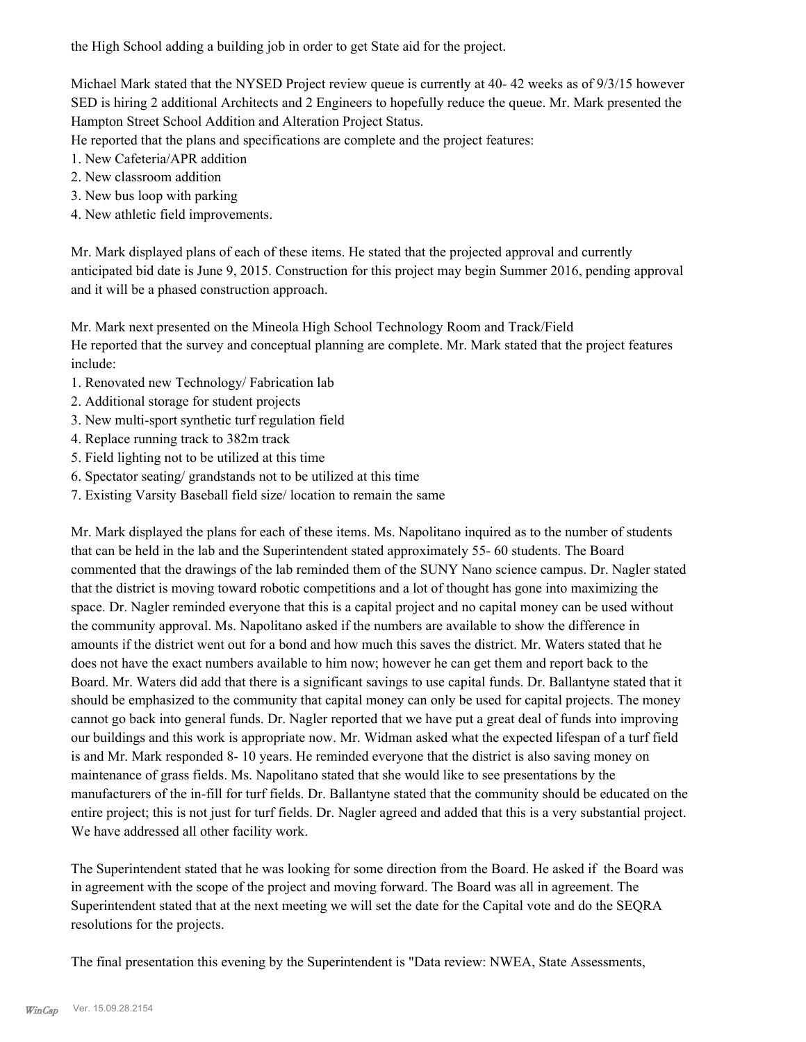the High School adding a building job in order to get State aid for the project.

Michael Mark stated that the NYSED Project review queue is currently at 40-42 weeks as of  $9/3/15$  however SED is hiring 2 additional Architects and 2 Engineers to hopefully reduce the queue. Mr. Mark presented the Hampton Street School Addition and Alteration Project Status.

He reported that the plans and specifications are complete and the project features:

- 1. New Cafeteria/APR addition
- 2. New classroom addition
- 3. New bus loop with parking
- 4. New athletic field improvements.

Mr. Mark displayed plans of each of these items. He stated that the projected approval and currently anticipated bid date is June 9, 2015. Construction for this project may begin Summer 2016, pending approval and it will be a phased construction approach.

Mr. Mark next presented on the Mineola High School Technology Room and Track/Field He reported that the survey and conceptual planning are complete. Mr. Mark stated that the project features include:

- 1. Renovated new Technology/ Fabrication lab
- 2. Additional storage for student projects
- 3. New multi-sport synthetic turf regulation field
- 4. Replace running track to 382m track
- 5. Field lighting not to be utilized at this time
- 6. Spectator seating/ grandstands not to be utilized at this time
- 7. Existing Varsity Baseball field size/ location to remain the same

Mr. Mark displayed the plans for each of these items. Ms. Napolitano inquired as to the number of students that can be held in the lab and the Superintendent stated approximately 55- 60 students. The Board commented that the drawings of the lab reminded them of the SUNY Nano science campus. Dr. Nagler stated that the district is moving toward robotic competitions and a lot of thought has gone into maximizing the space. Dr. Nagler reminded everyone that this is a capital project and no capital money can be used without the community approval. Ms. Napolitano asked if the numbers are available to show the difference in amounts if the district went out for a bond and how much this saves the district. Mr. Waters stated that he does not have the exact numbers available to him now; however he can get them and report back to the Board. Mr. Waters did add that there is a significant savings to use capital funds. Dr. Ballantyne stated that it should be emphasized to the community that capital money can only be used for capital projects. The money cannot go back into general funds. Dr. Nagler reported that we have put a great deal of funds into improving our buildings and this work is appropriate now. Mr. Widman asked what the expected lifespan of a turf field is and Mr. Mark responded 8- 10 years. He reminded everyone that the district is also saving money on maintenance of grass fields. Ms. Napolitano stated that she would like to see presentations by the manufacturers of the in-fill for turf fields. Dr. Ballantyne stated that the community should be educated on the entire project; this is not just for turf fields. Dr. Nagler agreed and added that this is a very substantial project. We have addressed all other facility work.

The Superintendent stated that he was looking for some direction from the Board. He asked if the Board was in agreement with the scope of the project and moving forward. The Board was all in agreement. The Superintendent stated that at the next meeting we will set the date for the Capital vote and do the SEQRA resolutions for the projects.

The final presentation this evening by the Superintendent is "Data review: NWEA, State Assessments,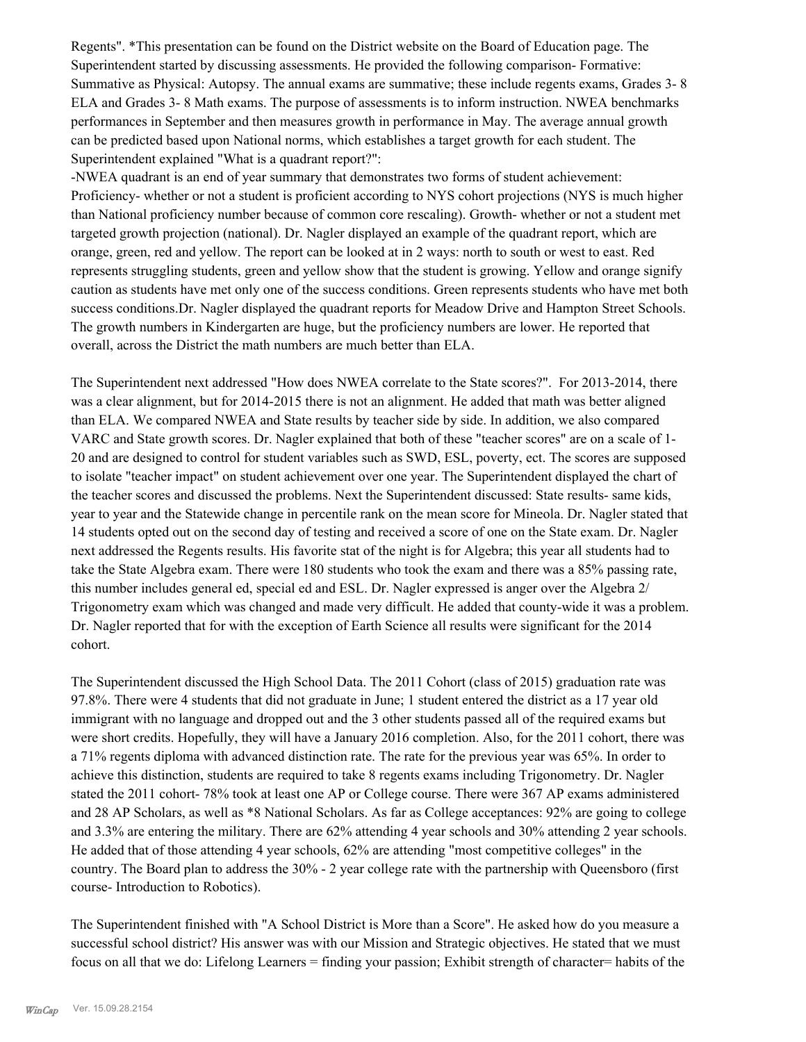Regents". \*This presentation can be found on the District website on the Board of Education page. The Superintendent started by discussing assessments. He provided the following comparison- Formative: Summative as Physical: Autopsy. The annual exams are summative; these include regents exams, Grades 3- 8 ELA and Grades 3- 8 Math exams. The purpose of assessments is to inform instruction. NWEA benchmarks performances in September and then measures growth in performance in May. The average annual growth can be predicted based upon National norms, which establishes a target growth for each student. The Superintendent explained "What is a quadrant report?":

-NWEA quadrant is an end of year summary that demonstrates two forms of student achievement: Proficiency- whether or not a student is proficient according to NYS cohort projections (NYS is much higher than National proficiency number because of common core rescaling). Growth- whether or not a student met targeted growth projection (national). Dr. Nagler displayed an example of the quadrant report, which are orange, green, red and yellow. The report can be looked at in 2 ways: north to south or west to east. Red represents struggling students, green and yellow show that the student is growing. Yellow and orange signify caution as students have met only one of the success conditions. Green represents students who have met both success conditions.Dr. Nagler displayed the quadrant reports for Meadow Drive and Hampton Street Schools. The growth numbers in Kindergarten are huge, but the proficiency numbers are lower. He reported that overall, across the District the math numbers are much better than ELA.

The Superintendent next addressed "How does NWEA correlate to the State scores?". For 2013-2014, there was a clear alignment, but for 2014-2015 there is not an alignment. He added that math was better aligned than ELA. We compared NWEA and State results by teacher side by side. In addition, we also compared VARC and State growth scores. Dr. Nagler explained that both of these "teacher scores" are on a scale of 1- 20 and are designed to control for student variables such as SWD, ESL, poverty, ect. The scores are supposed to isolate "teacher impact" on student achievement over one year. The Superintendent displayed the chart of the teacher scores and discussed the problems. Next the Superintendent discussed: State results- same kids, year to year and the Statewide change in percentile rank on the mean score for Mineola. Dr. Nagler stated that 14 students opted out on the second day of testing and received a score of one on the State exam. Dr. Nagler next addressed the Regents results. His favorite stat of the night is for Algebra; this year all students had to take the State Algebra exam. There were 180 students who took the exam and there was a 85% passing rate, this number includes general ed, special ed and ESL. Dr. Nagler expressed is anger over the Algebra 2/ Trigonometry exam which was changed and made very difficult. He added that county-wide it was a problem. Dr. Nagler reported that for with the exception of Earth Science all results were significant for the 2014 cohort.

The Superintendent discussed the High School Data. The 2011 Cohort (class of 2015) graduation rate was 97.8%. There were 4 students that did not graduate in June; 1 student entered the district as a 17 year old immigrant with no language and dropped out and the 3 other students passed all of the required exams but were short credits. Hopefully, they will have a January 2016 completion. Also, for the 2011 cohort, there was a 71% regents diploma with advanced distinction rate. The rate for the previous year was 65%. In order to achieve this distinction, students are required to take 8 regents exams including Trigonometry. Dr. Nagler stated the 2011 cohort- 78% took at least one AP or College course. There were 367 AP exams administered and 28 AP Scholars, as well as \*8 National Scholars. As far as College acceptances: 92% are going to college and 3.3% are entering the military. There are 62% attending 4 year schools and 30% attending 2 year schools. He added that of those attending 4 year schools, 62% are attending "most competitive colleges" in the country. The Board plan to address the 30% - 2 year college rate with the partnership with Queensboro (first course- Introduction to Robotics).

The Superintendent finished with "A School District is More than a Score". He asked how do you measure a successful school district? His answer was with our Mission and Strategic objectives. He stated that we must focus on all that we do: Lifelong Learners = finding your passion; Exhibit strength of character= habits of the